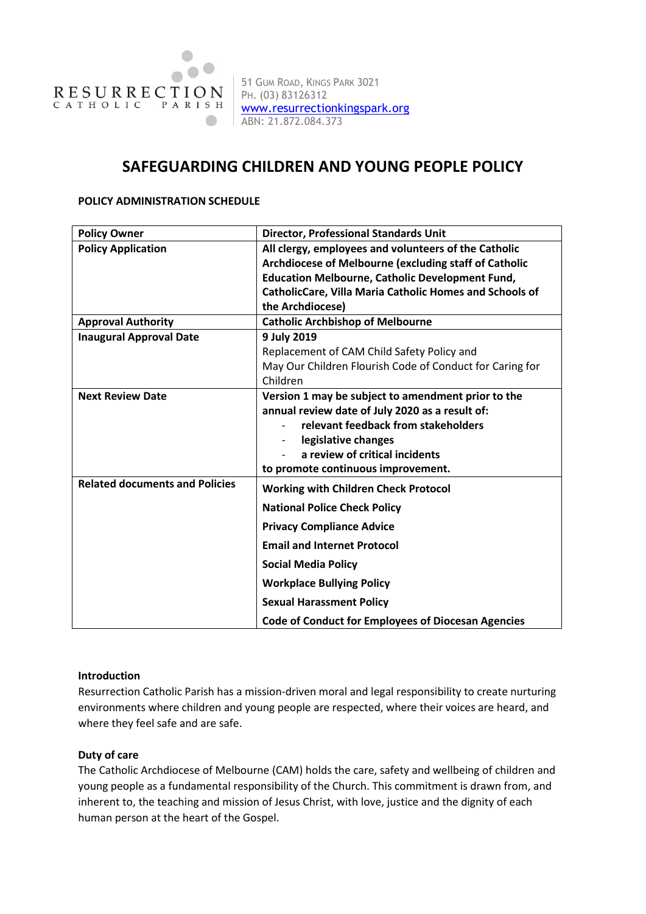

51 GUM ROAD, KINGS PARK 3021 PH. (03) 83126312 [www.resurrectionkingspark.org](http://www.resurrectionkingspark.org/) ABN: 21.872.084.373

# **SAFEGUARDING CHILDREN AND YOUNG PEOPLE POLICY**

## **POLICY ADMINISTRATION SCHEDULE**

| <b>Policy Owner</b>                   | <b>Director, Professional Standards Unit</b>                   |
|---------------------------------------|----------------------------------------------------------------|
| <b>Policy Application</b>             | All clergy, employees and volunteers of the Catholic           |
|                                       | Archdiocese of Melbourne (excluding staff of Catholic          |
|                                       | <b>Education Melbourne, Catholic Development Fund,</b>         |
|                                       | <b>CatholicCare, Villa Maria Catholic Homes and Schools of</b> |
|                                       | the Archdiocese)                                               |
| <b>Approval Authority</b>             | <b>Catholic Archbishop of Melbourne</b>                        |
| <b>Inaugural Approval Date</b>        | 9 July 2019                                                    |
|                                       | Replacement of CAM Child Safety Policy and                     |
|                                       | May Our Children Flourish Code of Conduct for Caring for       |
|                                       | Children                                                       |
| <b>Next Review Date</b>               | Version 1 may be subject to amendment prior to the             |
|                                       | annual review date of July 2020 as a result of:                |
|                                       | relevant feedback from stakeholders                            |
|                                       | legislative changes                                            |
|                                       | a review of critical incidents                                 |
|                                       | to promote continuous improvement.                             |
| <b>Related documents and Policies</b> | <b>Working with Children Check Protocol</b>                    |
|                                       | <b>National Police Check Policy</b>                            |
|                                       | <b>Privacy Compliance Advice</b>                               |
|                                       | <b>Email and Internet Protocol</b>                             |
|                                       | <b>Social Media Policy</b>                                     |
|                                       | <b>Workplace Bullying Policy</b>                               |
|                                       | <b>Sexual Harassment Policy</b>                                |
|                                       | <b>Code of Conduct for Employees of Diocesan Agencies</b>      |

## **Introduction**

Resurrection Catholic Parish has a mission-driven moral and legal responsibility to create nurturing environments where children and young people are respected, where their voices are heard, and where they feel safe and are safe.

## **Duty of care**

The Catholic Archdiocese of Melbourne (CAM) holds the care, safety and wellbeing of children and young people as a fundamental responsibility of the Church. This commitment is drawn from, and inherent to, the teaching and mission of Jesus Christ, with love, justice and the dignity of each human person at the heart of the Gospel.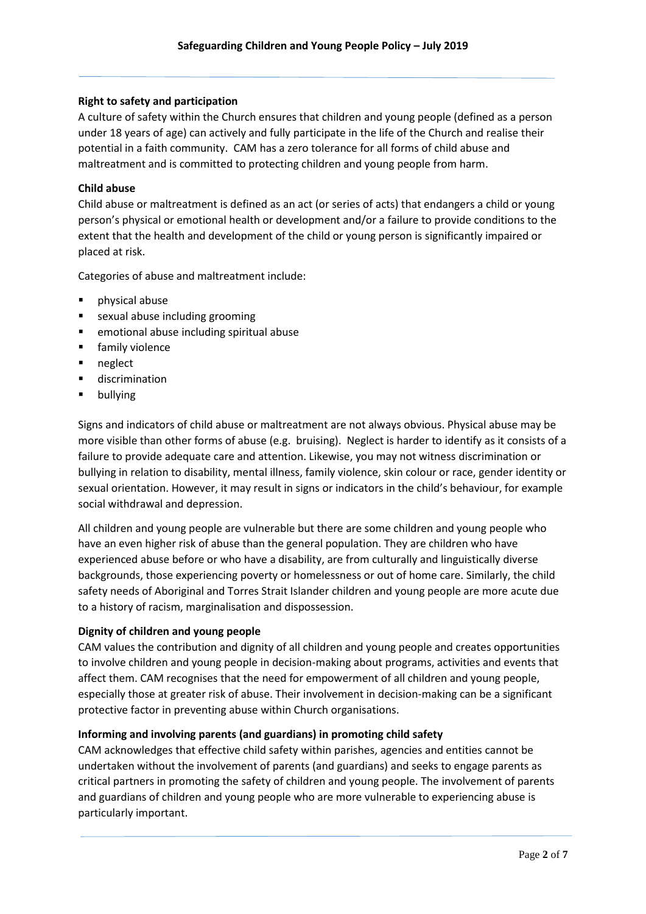## **Right to safety and participation**

A culture of safety within the Church ensures that children and young people (defined as a person under 18 years of age) can actively and fully participate in the life of the Church and realise their potential in a faith community. CAM has a zero tolerance for all forms of child abuse and maltreatment and is committed to protecting children and young people from harm.

## **Child abuse**

Child abuse or maltreatment is defined as an act (or series of acts) that endangers a child or young person's physical or emotional health or development and/or a failure to provide conditions to the extent that the health and development of the child or young person is significantly impaired or placed at risk.

Categories of abuse and maltreatment include:

- physical abuse
- sexual abuse including grooming
- **EXEC** emotional abuse including spiritual abuse
- **Filter** family violence
- **neglect**
- **u** discrimination
- **•** bullying

Signs and indicators of child abuse or maltreatment are not always obvious. Physical abuse may be more visible than other forms of abuse (e.g. bruising). Neglect is harder to identify as it consists of a failure to provide adequate care and attention. Likewise, you may not witness discrimination or bullying in relation to disability, mental illness, family violence, skin colour or race, gender identity or sexual orientation. However, it may result in signs or indicators in the child's behaviour, for example social withdrawal and depression.

All children and young people are vulnerable but there are some children and young people who have an even higher risk of abuse than the general population. They are children who have experienced abuse before or who have a disability, are from culturally and linguistically diverse backgrounds, those experiencing poverty or homelessness or out of home care. Similarly, the child safety needs of Aboriginal and Torres Strait Islander children and young people are more acute due to a history of racism, marginalisation and dispossession.

## **Dignity of children and young people**

CAM values the contribution and dignity of all children and young people and creates opportunities to involve children and young people in decision-making about programs, activities and events that affect them. CAM recognises that the need for empowerment of all children and young people, especially those at greater risk of abuse. Their involvement in decision-making can be a significant protective factor in preventing abuse within Church organisations.

## **Informing and involving parents (and guardians) in promoting child safety**

CAM acknowledges that effective child safety within parishes, agencies and entities cannot be undertaken without the involvement of parents (and guardians) and seeks to engage parents as critical partners in promoting the safety of children and young people. The involvement of parents and guardians of children and young people who are more vulnerable to experiencing abuse is particularly important.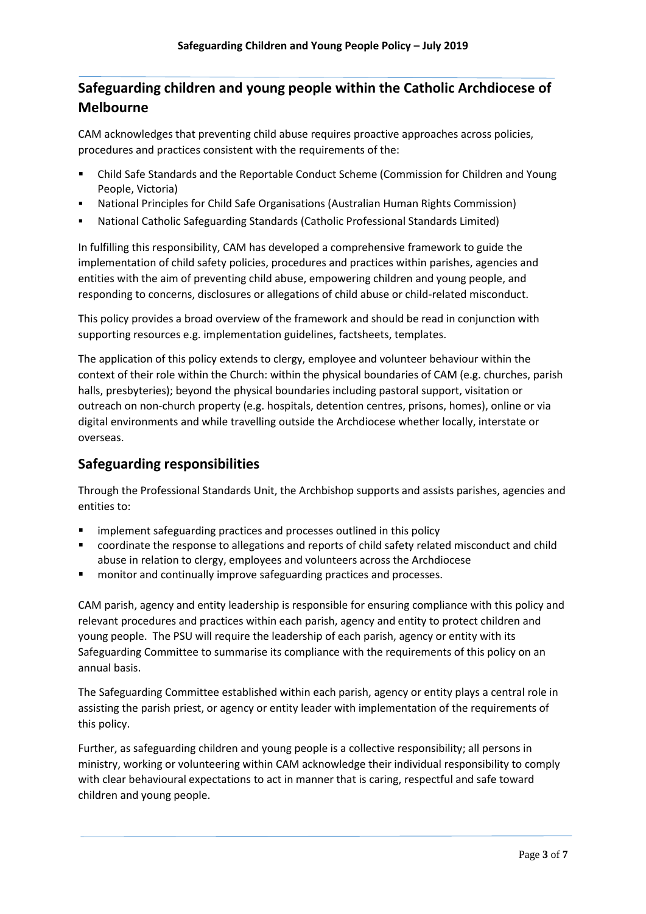# **Safeguarding children and young people within the Catholic Archdiocese of Melbourne**

CAM acknowledges that preventing child abuse requires proactive approaches across policies, procedures and practices consistent with the requirements of the:

- Child Safe Standards and the Reportable Conduct Scheme (Commission for Children and Young People, Victoria)
- National Principles for Child Safe Organisations (Australian Human Rights Commission)
- National Catholic Safeguarding Standards (Catholic Professional Standards Limited)

In fulfilling this responsibility, CAM has developed a comprehensive framework to guide the implementation of child safety policies, procedures and practices within parishes, agencies and entities with the aim of preventing child abuse, empowering children and young people, and responding to concerns, disclosures or allegations of child abuse or child-related misconduct.

This policy provides a broad overview of the framework and should be read in conjunction with supporting resources e.g. implementation guidelines, factsheets, templates.

The application of this policy extends to clergy, employee and volunteer behaviour within the context of their role within the Church: within the physical boundaries of CAM (e.g. churches, parish halls, presbyteries); beyond the physical boundaries including pastoral support, visitation or outreach on non-church property (e.g. hospitals, detention centres, prisons, homes), online or via digital environments and while travelling outside the Archdiocese whether locally, interstate or overseas.

# **Safeguarding responsibilities**

Through the Professional Standards Unit, the Archbishop supports and assists parishes, agencies and entities to:

- implement safeguarding practices and processes outlined in this policy
- coordinate the response to allegations and reports of child safety related misconduct and child abuse in relation to clergy, employees and volunteers across the Archdiocese
- **number 4** monitor and continually improve safeguarding practices and processes.

CAM parish, agency and entity leadership is responsible for ensuring compliance with this policy and relevant procedures and practices within each parish, agency and entity to protect children and young people. The PSU will require the leadership of each parish, agency or entity with its Safeguarding Committee to summarise its compliance with the requirements of this policy on an annual basis.

The Safeguarding Committee established within each parish, agency or entity plays a central role in assisting the parish priest, or agency or entity leader with implementation of the requirements of this policy.

Further, as safeguarding children and young people is a collective responsibility; all persons in ministry, working or volunteering within CAM acknowledge their individual responsibility to comply with clear behavioural expectations to act in manner that is caring, respectful and safe toward children and young people.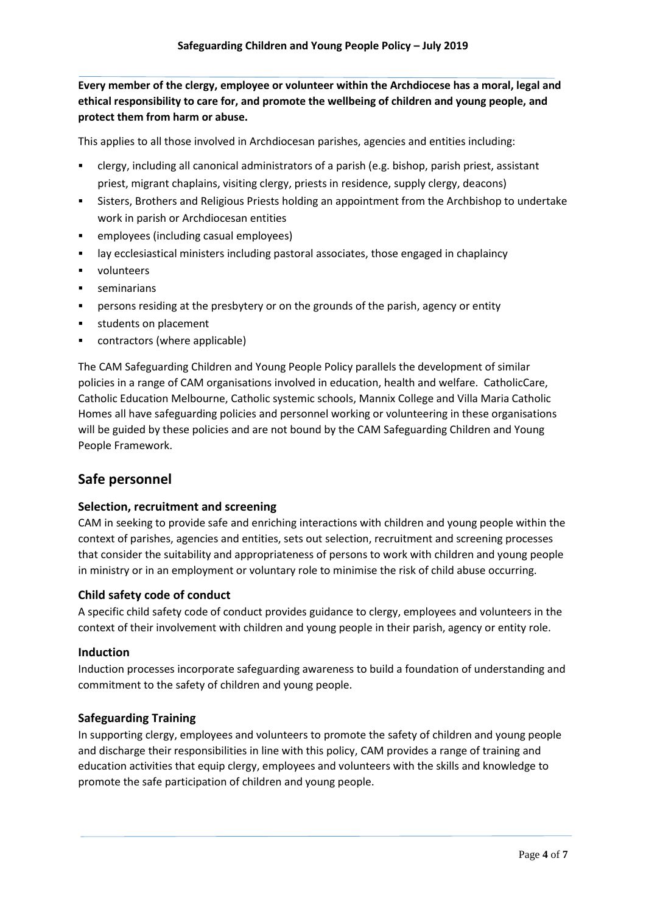**Every member of the clergy, employee or volunteer within the Archdiocese has a moral, legal and ethical responsibility to care for, and promote the wellbeing of children and young people, and protect them from harm or abuse.**

This applies to all those involved in Archdiocesan parishes, agencies and entities including:

- clergy, including all canonical administrators of a parish (e.g. bishop, parish priest, assistant priest, migrant chaplains, visiting clergy, priests in residence, supply clergy, deacons)
- Sisters, Brothers and Religious Priests holding an appointment from the Archbishop to undertake work in parish or Archdiocesan entities
- employees (including casual employees)
- lay ecclesiastical ministers including pastoral associates, those engaged in chaplaincy
- **volunteers**
- **seminarians**
- persons residing at the presbytery or on the grounds of the parish, agency or entity
- **students on placement**
- contractors (where applicable)

The CAM Safeguarding Children and Young People Policy parallels the development of similar policies in a range of CAM organisations involved in education, health and welfare. CatholicCare, Catholic Education Melbourne, Catholic systemic schools, Mannix College and Villa Maria Catholic Homes all have safeguarding policies and personnel working or volunteering in these organisations will be guided by these policies and are not bound by the CAM Safeguarding Children and Young People Framework.

## **Safe personnel**

## **Selection, recruitment and screening**

CAM in seeking to provide safe and enriching interactions with children and young people within the context of parishes, agencies and entities, sets out selection, recruitment and screening processes that consider the suitability and appropriateness of persons to work with children and young people in ministry or in an employment or voluntary role to minimise the risk of child abuse occurring.

#### **Child safety code of conduct**

A specific child safety code of conduct provides guidance to clergy, employees and volunteers in the context of their involvement with children and young people in their parish, agency or entity role.

#### **Induction**

Induction processes incorporate safeguarding awareness to build a foundation of understanding and commitment to the safety of children and young people.

## **Safeguarding Training**

In supporting clergy, employees and volunteers to promote the safety of children and young people and discharge their responsibilities in line with this policy, CAM provides a range of training and education activities that equip clergy, employees and volunteers with the skills and knowledge to promote the safe participation of children and young people.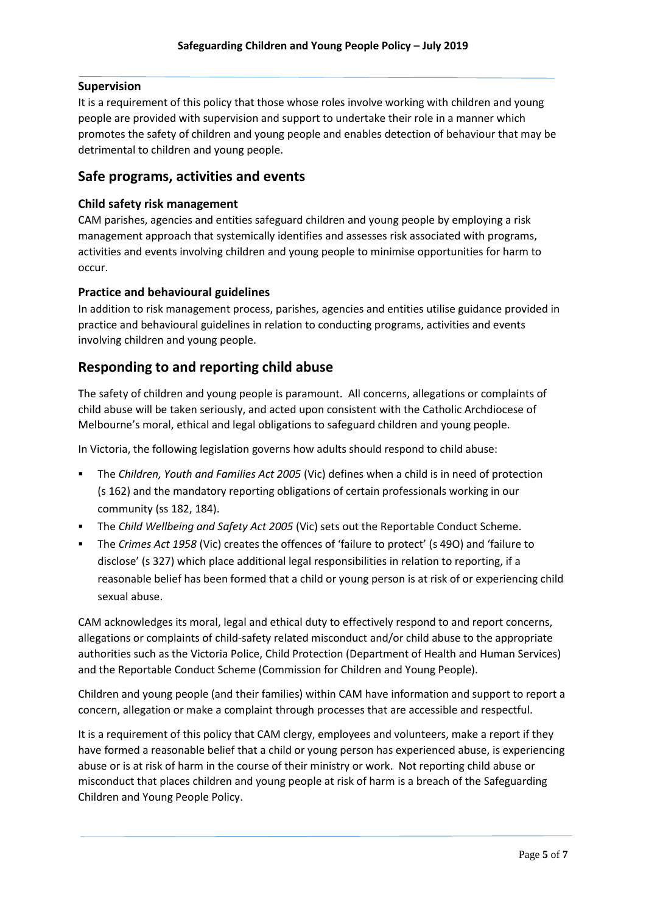## **Supervision**

It is a requirement of this policy that those whose roles involve working with children and young people are provided with supervision and support to undertake their role in a manner which promotes the safety of children and young people and enables detection of behaviour that may be detrimental to children and young people.

## **Safe programs, activities and events**

## **Child safety risk management**

CAM parishes, agencies and entities safeguard children and young people by employing a risk management approach that systemically identifies and assesses risk associated with programs, activities and events involving children and young people to minimise opportunities for harm to occur.

## **Practice and behavioural guidelines**

In addition to risk management process, parishes, agencies and entities utilise guidance provided in practice and behavioural guidelines in relation to conducting programs, activities and events involving children and young people.

## **Responding to and reporting child abuse**

The safety of children and young people is paramount. All concerns, allegations or complaints of child abuse will be taken seriously, and acted upon consistent with the Catholic Archdiocese of Melbourne's moral, ethical and legal obligations to safeguard children and young people.

In Victoria, the following legislation governs how adults should respond to child abuse:

- The *Children, Youth and Families Act 2005* (Vic) defines when a child is in need of protection (s 162) and the mandatory reporting obligations of certain professionals working in our community (ss 182, 184).
- The *Child Wellbeing and Safety Act 2005* (Vic) sets out the Reportable Conduct Scheme.
- The *Crimes Act 1958* (Vic) creates the offences of 'failure to protect' (s 49O) and 'failure to disclose' (s 327) which place additional legal responsibilities in relation to reporting, if a reasonable belief has been formed that a child or young person is at risk of or experiencing child sexual abuse.

CAM acknowledges its moral, legal and ethical duty to effectively respond to and report concerns, allegations or complaints of child-safety related misconduct and/or child abuse to the appropriate authorities such as the Victoria Police, Child Protection (Department of Health and Human Services) and the Reportable Conduct Scheme (Commission for Children and Young People).

Children and young people (and their families) within CAM have information and support to report a concern, allegation or make a complaint through processes that are accessible and respectful.

It is a requirement of this policy that CAM clergy, employees and volunteers, make a report if they have formed a reasonable belief that a child or young person has experienced abuse, is experiencing abuse or is at risk of harm in the course of their ministry or work. Not reporting child abuse or misconduct that places children and young people at risk of harm is a breach of the Safeguarding Children and Young People Policy.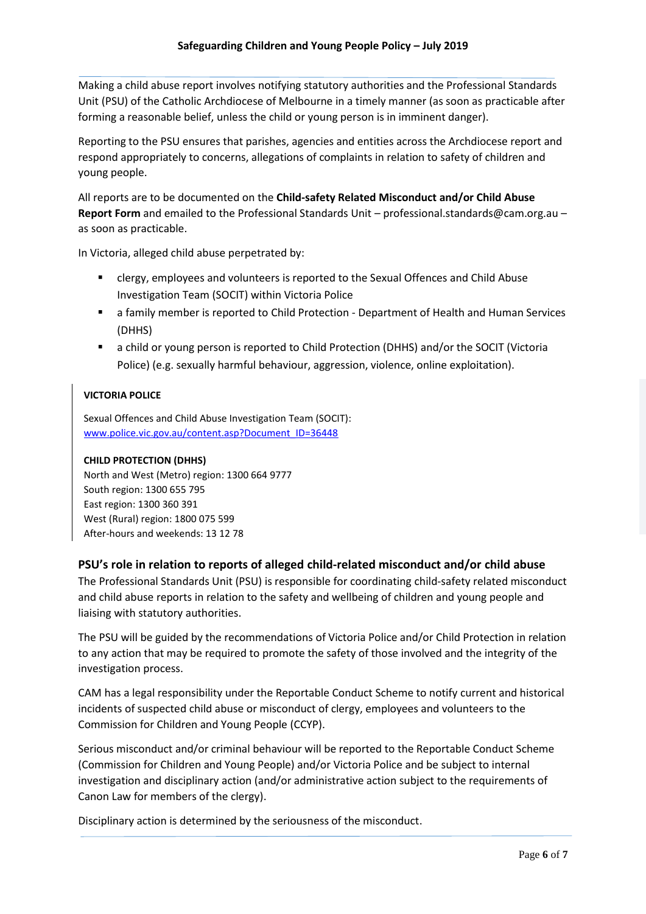Making a child abuse report involves notifying statutory authorities and the Professional Standards Unit (PSU) of the Catholic Archdiocese of Melbourne in a timely manner (as soon as practicable after forming a reasonable belief, unless the child or young person is in imminent danger).

Reporting to the PSU ensures that parishes, agencies and entities across the Archdiocese report and respond appropriately to concerns, allegations of complaints in relation to safety of children and young people.

All reports are to be documented on the **Child-safety Related Misconduct and/or Child Abuse Report Form** and emailed to the Professional Standards Unit – [professional.standards@cam.org.au](mailto:professional.standards@cam.org.au) – as soon as practicable.

In Victoria, alleged child abuse perpetrated by:

- clergy, employees and volunteers is reported to the Sexual Offences and Child Abuse Investigation Team (SOCIT) within Victoria Police
- a family member is reported to Child Protection Department of Health and Human Services (DHHS)
- a child or young person is reported to Child Protection (DHHS) and/or the SOCIT (Victoria Police) (e.g. sexually harmful behaviour, aggression, violence, online exploitation).

## **VICTORIA POLICE**

Sexual Offences and Child Abuse Investigation Team (SOCIT): [www.police.vic.gov.au/content.asp?Document\\_ID=36448](http://www.police.vic.gov.au/content.asp?Document_ID=36448)

## **CHILD PROTECTION (DHHS)**

North and West (Metro) region: 1300 664 9777 South region: 1300 655 795 East region: 1300 360 391 West (Rural) region: 1800 075 599 After-hours and weekends: 13 12 78

## **PSU's role in relation to reports of alleged child-related misconduct and/or child abuse**

The Professional Standards Unit (PSU) is responsible for coordinating child-safety related misconduct and child abuse reports in relation to the safety and wellbeing of children and young people and liaising with statutory authorities.

The PSU will be guided by the recommendations of Victoria Police and/or Child Protection in relation to any action that may be required to promote the safety of those involved and the integrity of the investigation process.

CAM has a legal responsibility under the Reportable Conduct Scheme to notify current and historical incidents of suspected child abuse or misconduct of clergy, employees and volunteers to the Commission for Children and Young People (CCYP).

Serious misconduct and/or criminal behaviour will be reported to the Reportable Conduct Scheme (Commission for Children and Young People) and/or Victoria Police and be subject to internal investigation and disciplinary action (and/or administrative action subject to the requirements of Canon Law for members of the clergy).

Disciplinary action is determined by the seriousness of the misconduct.